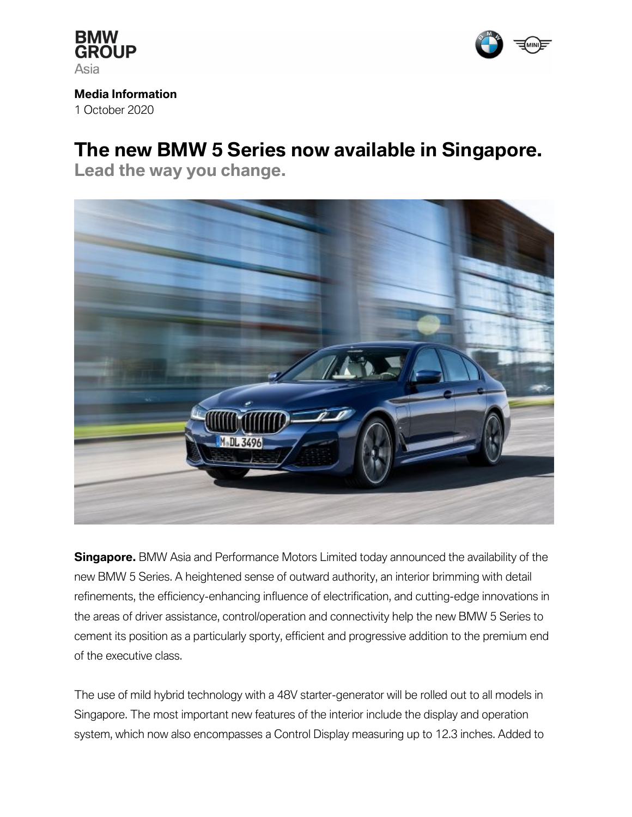



**Media Information** 1 October 2020

# **The new BMW 5 Series now available in Singapore.**

**Lead the way you change.** 



**Singapore.** BMW Asia and Performance Motors Limited today announced the availability of the new BMW 5 Series. A heightened sense of outward authority, an interior brimming with detail refinements, the efficiency-enhancing influence of electrification, and cutting-edge innovations in the areas of driver assistance, control/operation and connectivity help the new BMW 5 Series to cement its position as a particularly sporty, efficient and progressive addition to the premium end of the executive class.

The use of mild hybrid technology with a 48V starter-generator will be rolled out to all models in Singapore. The most important new features of the interior include the display and operation system, which now also encompasses a Control Display measuring up to 12.3 inches. Added to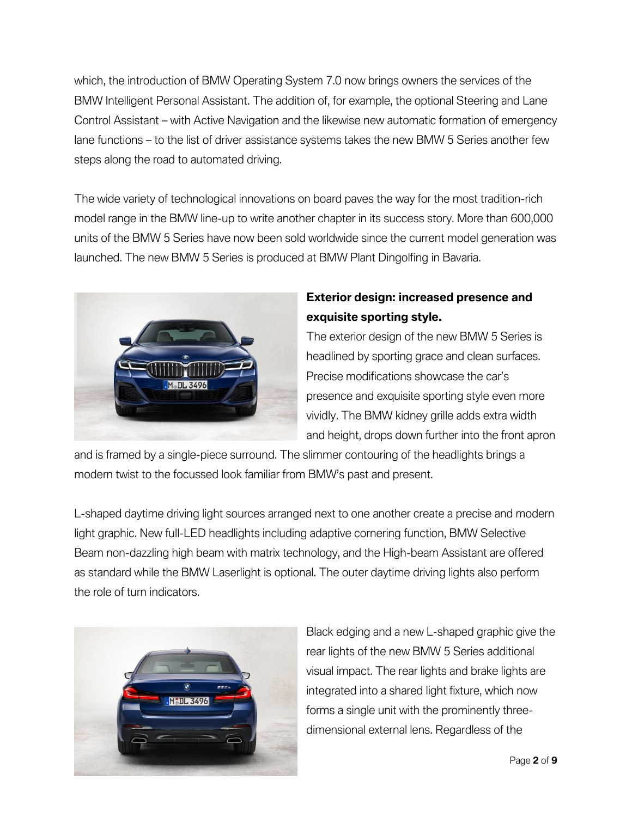which, the introduction of BMW Operating System 7.0 now brings owners the services of the BMW Intelligent Personal Assistant. The addition of, for example, the optional Steering and Lane Control Assistant – with Active Navigation and the likewise new automatic formation of emergency lane functions – to the list of driver assistance systems takes the new BMW 5 Series another few steps along the road to automated driving.

The wide variety of technological innovations on board paves the way for the most tradition-rich model range in the BMW line-up to write another chapter in its success story. More than 600,000 units of the BMW 5 Series have now been sold worldwide since the current model generation was launched. The new BMW 5 Series is produced at BMW Plant Dingolfing in Bavaria.



### **Exterior design: increased presence and exquisite sporting style.**

The exterior design of the new BMW 5 Series is headlined by sporting grace and clean surfaces. Precise modifications showcase the car's presence and exquisite sporting style even more vividly. The BMW kidney grille adds extra width and height, drops down further into the front apron

and is framed by a single-piece surround. The slimmer contouring of the headlights brings a modern twist to the focussed look familiar from BMW's past and present.

L-shaped daytime driving light sources arranged next to one another create a precise and modern light graphic. New full-LED headlights including adaptive cornering function, BMW Selective Beam non-dazzling high beam with matrix technology, and the High-beam Assistant are offered as standard while the BMW Laserlight is optional. The outer daytime driving lights also perform the role of turn indicators.



Black edging and a new L-shaped graphic give the rear lights of the new BMW 5 Series additional visual impact. The rear lights and brake lights are integrated into a shared light fixture, which now forms a single unit with the prominently threedimensional external lens. Regardless of the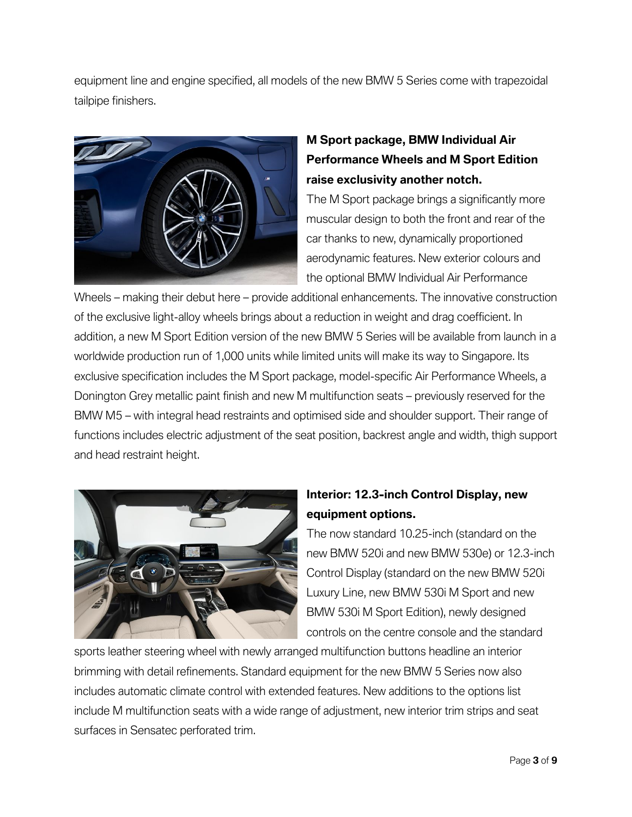equipment line and engine specified, all models of the new BMW 5 Series come with trapezoidal tailpipe finishers.



## **M Sport package, BMW Individual Air Performance Wheels and M Sport Edition raise exclusivity another notch.**

The M Sport package brings a significantly more muscular design to both the front and rear of the car thanks to new, dynamically proportioned aerodynamic features. New exterior colours and the optional BMW Individual Air Performance

Wheels – making their debut here – provide additional enhancements. The innovative construction of the exclusive light-alloy wheels brings about a reduction in weight and drag coefficient. In addition, a new M Sport Edition version of the new BMW 5 Series will be available from launch in a worldwide production run of 1,000 units while limited units will make its way to Singapore. Its exclusive specification includes the M Sport package, model-specific Air Performance Wheels, a Donington Grey metallic paint finish and new M multifunction seats – previously reserved for the BMW M5 – with integral head restraints and optimised side and shoulder support. Their range of functions includes electric adjustment of the seat position, backrest angle and width, thigh support and head restraint height.



## **Interior: 12.3-inch Control Display, new equipment options.**

The now standard 10.25-inch (standard on the new BMW 520i and new BMW 530e) or 12.3-inch Control Display (standard on the new BMW 520i Luxury Line, new BMW 530i M Sport and new BMW 530i M Sport Edition), newly designed controls on the centre console and the standard

sports leather steering wheel with newly arranged multifunction buttons headline an interior brimming with detail refinements. Standard equipment for the new BMW 5 Series now also includes automatic climate control with extended features. New additions to the options list include M multifunction seats with a wide range of adjustment, new interior trim strips and seat surfaces in Sensatec perforated trim.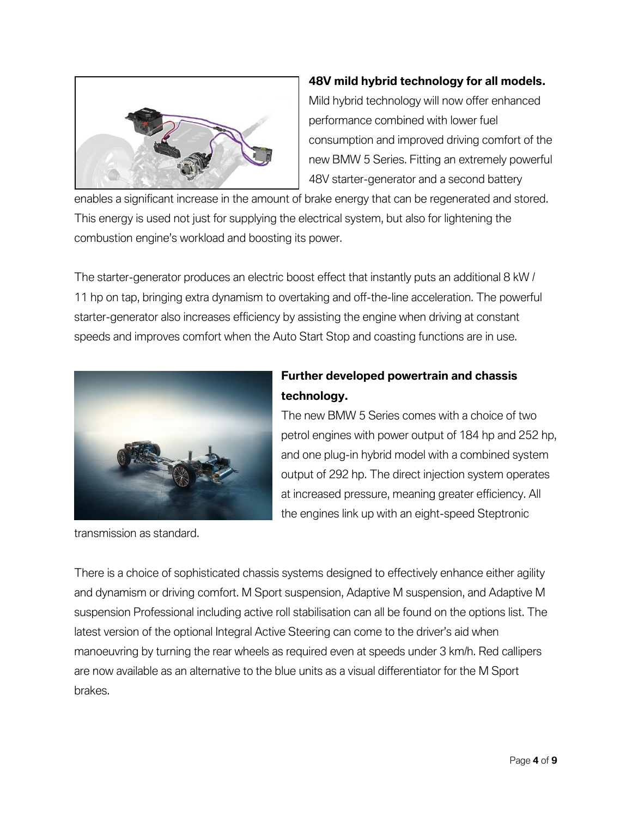

#### **48V mild hybrid technology for all models.**

Mild hybrid technology will now offer enhanced performance combined with lower fuel consumption and improved driving comfort of the new BMW 5 Series. Fitting an extremely powerful 48V starter-generator and a second battery

enables a significant increase in the amount of brake energy that can be regenerated and stored. This energy is used not just for supplying the electrical system, but also for lightening the combustion engine's workload and boosting its power.

The starter-generator produces an electric boost effect that instantly puts an additional 8 kW / 11 hp on tap, bringing extra dynamism to overtaking and off-the-line acceleration. The powerful starter-generator also increases efficiency by assisting the engine when driving at constant speeds and improves comfort when the Auto Start Stop and coasting functions are in use.



transmission as standard.

### **Further developed powertrain and chassis technology.**

The new BMW 5 Series comes with a choice of two petrol engines with power output of 184 hp and 252 hp, and one plug-in hybrid model with a combined system output of 292 hp. The direct injection system operates at increased pressure, meaning greater efficiency. All the engines link up with an eight-speed Steptronic

There is a choice of sophisticated chassis systems designed to effectively enhance either agility and dynamism or driving comfort. M Sport suspension, Adaptive M suspension, and Adaptive M suspension Professional including active roll stabilisation can all be found on the options list. The latest version of the optional Integral Active Steering can come to the driver's aid when manoeuvring by turning the rear wheels as required even at speeds under 3 km/h. Red callipers are now available as an alternative to the blue units as a visual differentiator for the M Sport brakes.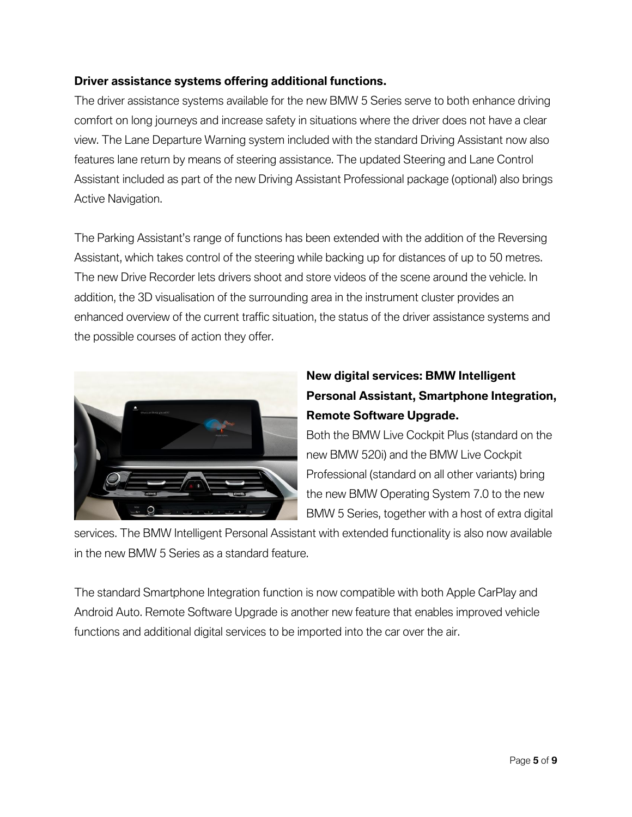#### **Driver assistance systems offering additional functions.**

The driver assistance systems available for the new BMW 5 Series serve to both enhance driving comfort on long journeys and increase safety in situations where the driver does not have a clear view. The Lane Departure Warning system included with the standard Driving Assistant now also features lane return by means of steering assistance. The updated Steering and Lane Control Assistant included as part of the new Driving Assistant Professional package (optional) also brings Active Navigation.

The Parking Assistant's range of functions has been extended with the addition of the Reversing Assistant, which takes control of the steering while backing up for distances of up to 50 metres. The new Drive Recorder lets drivers shoot and store videos of the scene around the vehicle. In addition, the 3D visualisation of the surrounding area in the instrument cluster provides an enhanced overview of the current traffic situation, the status of the driver assistance systems and the possible courses of action they offer.



## **New digital services: BMW Intelligent Personal Assistant, Smartphone Integration, Remote Software Upgrade.**

Both the BMW Live Cockpit Plus (standard on the new BMW 520i) and the BMW Live Cockpit Professional (standard on all other variants) bring the new BMW Operating System 7.0 to the new BMW 5 Series, together with a host of extra digital

services. The BMW Intelligent Personal Assistant with extended functionality is also now available in the new BMW 5 Series as a standard feature.

The standard Smartphone Integration function is now compatible with both Apple CarPlay and Android Auto. Remote Software Upgrade is another new feature that enables improved vehicle functions and additional digital services to be imported into the car over the air.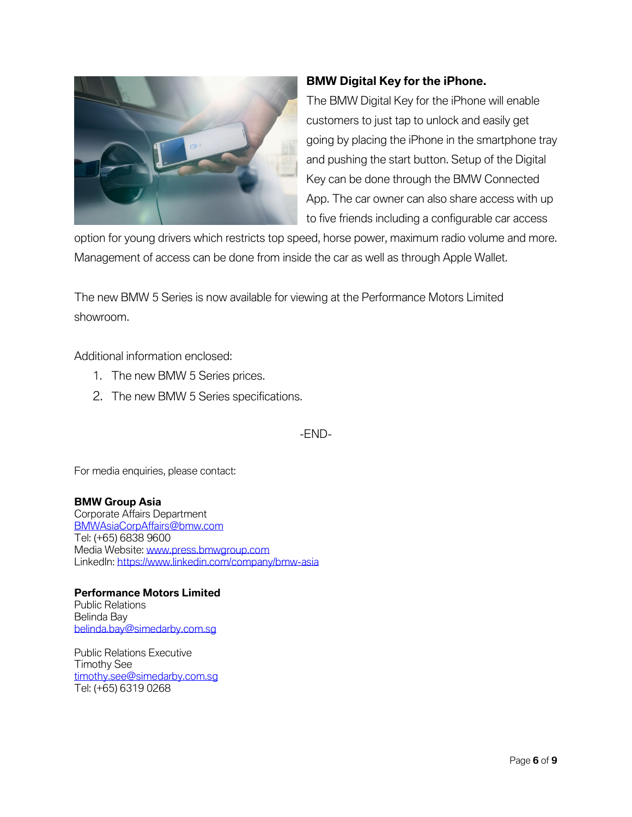

### **BMW Digital Key for the iPhone.**

The BMW Digital Key for the iPhone will enable customers to just tap to unlock and easily get going by placing the iPhone in the smartphone tray and pushing the start button. Setup of the Digital Key can be done through the BMW Connected App. The car owner can also share access with up to five friends including a configurable car access

option for young drivers which restricts top speed, horse power, maximum radio volume and more. Management of access can be done from inside the car as well as through Apple Wallet.

The new BMW 5 Series is now available for viewing at the Performance Motors Limited showroom.

Additional information enclosed:

- 1. The new BMW 5 Series prices.
- 2. The new BMW 5 Series specifications.

-END-

For media enquiries, please contact:

**BMW Group Asia**  Corporate Affairs Department [BMWAsiaCorpAffairs@bmw.com](mailto:BMWAsiaCorpAffairs@bmw.com) Tel: (+65) 6838 9600 Media Website: [www.press.bmwgroup.com](http://www.press.bmwgroup.com/) LinkedIn:<https://www.linkedin.com/company/bmw-asia>

**Performance Motors Limited** Public Relations Belinda Bay [belinda.bay@simedarby.com.sg](mailto:belinda.bay@simedarby.com.sg)

Public Relations Executive Timothy See timothy.see@simedarby.com.sg Tel: (+65) 6319 0268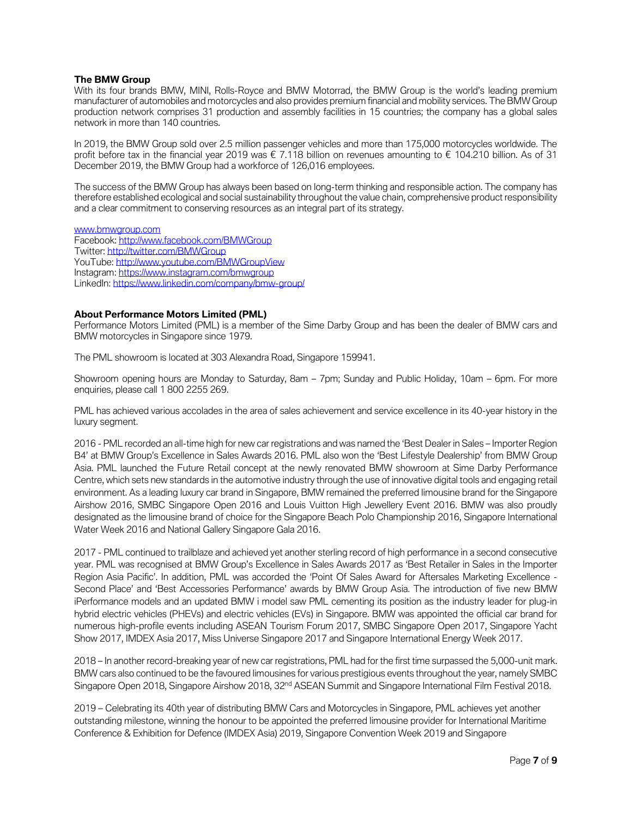#### **The BMW Group**

With its four brands BMW, MINI, Rolls-Royce and BMW Motorrad, the BMW Group is the world's leading premium manufacturer of automobiles and motorcycles and also provides premium financial and mobility services. The BMW Group production network comprises 31 production and assembly facilities in 15 countries; the company has a global sales network in more than 140 countries.

In 2019, the BMW Group sold over 2.5 million passenger vehicles and more than 175,000 motorcycles worldwide. The profit before tax in the financial year 2019 was € 7.118 billion on revenues amounting to € 104.210 billion. As of 31 December 2019, the BMW Group had a workforce of 126,016 employees.

The success of the BMW Group has always been based on long-term thinking and responsible action. The company has therefore established ecological and social sustainability throughout the value chain, comprehensive product responsibility and a clear commitment to conserving resources as an integral part of its strategy.

[www.bmwgroup.com](http://www.bmwgroup.com/) Facebook[: http://www.facebook.com/BMWGroup](http://www.facebook.com/BMWGroup) Twitter:<http://twitter.com/BMWGroup> YouTube[: http://www.youtube.com/BMWGroupView](http://www.youtube.com/BMWGroupView) Instagram:<https://www.instagram.com/bmwgroup> LinkedIn[: https://www.linkedin.com/company/bmw-group/](https://www.linkedin.com/company/bmwgroup/)

#### **About Performance Motors Limited (PML)**

Performance Motors Limited (PML) is a member of the Sime Darby Group and has been the dealer of BMW cars and BMW motorcycles in Singapore since 1979.

The PML showroom is located at 303 Alexandra Road, Singapore 159941.

Showroom opening hours are Monday to Saturday, 8am – 7pm; Sunday and Public Holiday, 10am – 6pm. For more enquiries, please call 1 800 2255 269.

PML has achieved various accolades in the area of sales achievement and service excellence in its 40-year history in the luxury segment.

2016 - PML recorded an all-time high for new car registrations and was named the 'Best Dealer in Sales – Importer Region B4' at BMW Group's Excellence in Sales Awards 2016. PML also won the 'Best Lifestyle Dealership' from BMW Group Asia. PML launched the Future Retail concept at the newly renovated BMW showroom at Sime Darby Performance Centre, which sets new standards in the automotive industry through the use of innovative digital tools and engaging retail environment. As a leading luxury car brand in Singapore, BMW remained the preferred limousine brand for the Singapore Airshow 2016, SMBC Singapore Open 2016 and Louis Vuitton High Jewellery Event 2016. BMW was also proudly designated as the limousine brand of choice for the Singapore Beach Polo Championship 2016, Singapore International Water Week 2016 and National Gallery Singapore Gala 2016.

2017 - PML continued to trailblaze and achieved yet another sterling record of high performance in a second consecutive year. PML was recognised at BMW Group's Excellence in Sales Awards 2017 as 'Best Retailer in Sales in the Importer Region Asia Pacific'. In addition, PML was accorded the 'Point Of Sales Award for Aftersales Marketing Excellence - Second Place' and 'Best Accessories Performance' awards by BMW Group Asia. The introduction of five new BMW iPerformance models and an updated BMW i model saw PML cementing its position as the industry leader for plug-in hybrid electric vehicles (PHEVs) and electric vehicles (EVs) in Singapore. BMW was appointed the official car brand for numerous high-profile events including ASEAN Tourism Forum 2017, SMBC Singapore Open 2017, Singapore Yacht Show 2017, IMDEX Asia 2017, Miss Universe Singapore 2017 and Singapore International Energy Week 2017.

2018 – In another record-breaking year of new car registrations, PML had for the first time surpassed the 5,000-unit mark. BMW cars also continued to be the favoured limousines for various prestigious events throughout the year, namely SMBC Singapore Open 2018, Singapore Airshow 2018, 32<sup>nd</sup> ASEAN Summit and Singapore International Film Festival 2018.

2019 – Celebrating its 40th year of distributing BMW Cars and Motorcycles in Singapore, PML achieves yet another outstanding milestone, winning the honour to be appointed the preferred limousine provider for International Maritime Conference & Exhibition for Defence (IMDEX Asia) 2019, Singapore Convention Week 2019 and Singapore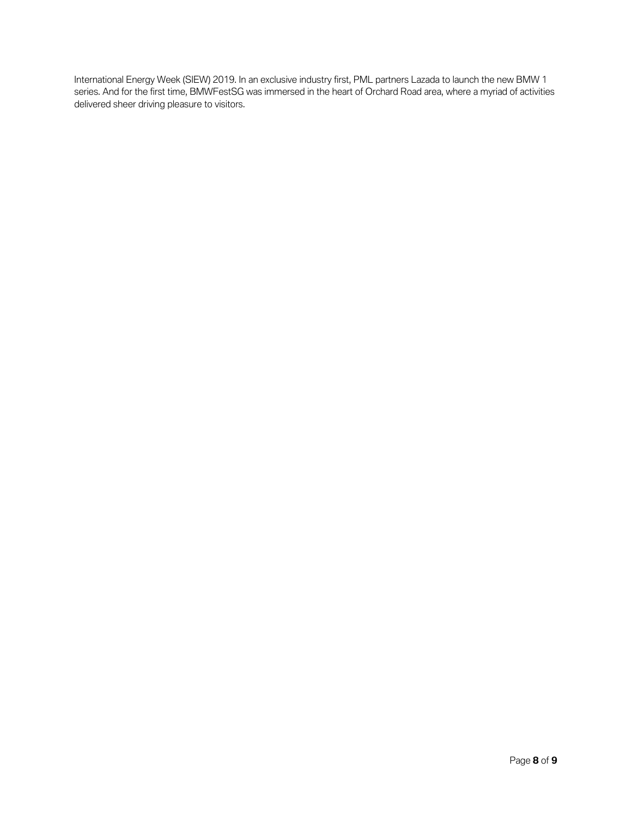International Energy Week (SIEW) 2019. In an exclusive industry first, PML partners Lazada to launch the new BMW 1 series. And for the first time, BMWFestSG was immersed in the heart of Orchard Road area, where a myriad of activities delivered sheer driving pleasure to visitors.